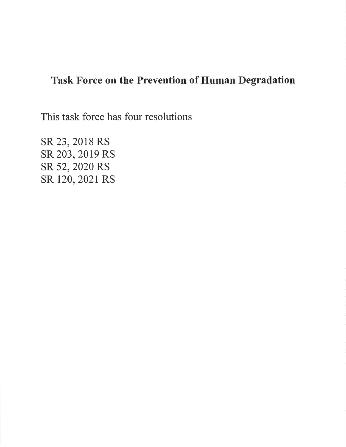# Task Force on the Prevention of Human Degradation

This task force has four resolutions

SR 23, 2018 RS SR 203, 2019 RS SR 52, 2O2O RS sR 120,2021 RS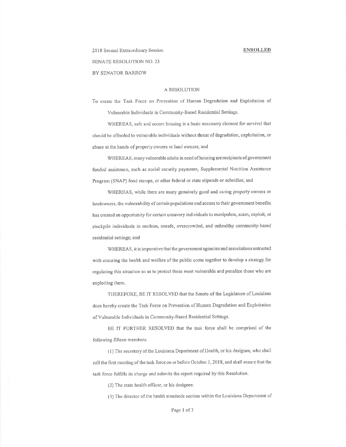# 2018 Second Extraordinary Session **SENATE RESOLUTION NO. 23** BY SENATOR BARROW

# A RESOLUTION

To create the Task Force on Prevention of Human Degradation and Exploitation of Vulnerable Individuals in Community-Based Residential Settings.

WHEREAS, safe and secure housing is a basic necessary element for survival that should be afforded to vulnerable individuals without threat of degradation, exploitation, or abuse at the hands of property owners or land owners; and

WHEREAS, many vulnerable adults in need of housing are recipients of government funded assistance, such as social security payments, Supplemental Nutrition Assistance Program (SNAP) food stamps, or other federal or state stipends or subsidies; and

WHEREAS, while there are many genuinely good and caring property owners or landowners, the vulnerability of certain populations and access to their government benefits has created an opportunity for certain unsavory individuals to manipulate, scam, exploit, or stockpile individuals in unclean, unsafe, overcrowded, and unhealthy community-based residential settings; and

WHEREAS, it is imperative that the government agencies and associations entrusted with ensuring the health and welfare of the public come together to develop a strategy for regulating this situation so as to protect those most vulnerable and penalize those who are exploiting them.

THEREFORE, BE IT RESOLVED that the Senate of the Legislature of Louisiana does hereby create the Task Force on Prevention of Human Degradation and Exploitation of Vulnerable Individuals in Community-Based Residential Settings.

BE IT FURTHER RESOLVED that the task force shall be comprised of the following fifteen members:

(1) The secretary of the Louisiana Department of Health, or his designee, who shall call the first meeting of the task force on or before October 1, 2018, and shall ensure that the task force fulfills its charge and submits the report required by this Resolution.

(2) The state health officer, or his designee.

(3) The director of the health standards section within the Louisiana Department of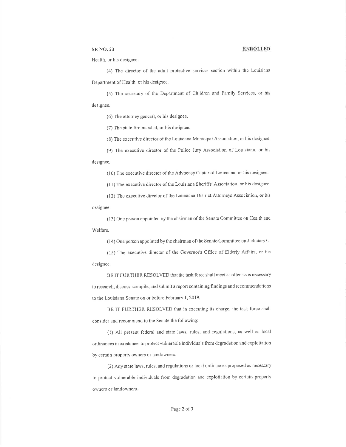## SR NO. 23 IENROLLED

Health, or his designee.

(4) The director of the adult protective services section within the Louisiana Department of Health, or his designee.

(5) The secretary of the Department of Children and Family Services, or his designee.

 $(6)$  The attorney gencral, or his designee.

(7) The state fire marshal, or his designee.

(8) The executive director of the Louisiana Municipal Association, or his designee.

(9) The executive director of the Police Jury Association of Louisiana, or his designee.

(10) The executive director of the Advocacy Center of Louisiana, or his designee.

(11) The executive director of the Louisiana Sheriffs' Association, or his designee.

(12) The executive director of the Louisiana District Attorneys Association, or his designee.

(13) One person appointed by the chairman of the Senate Committee on Health and Welfare.

(14) One person appointed by the chairman of the Senate Committee on Judiciary C'

(15) The executive director of the Governor's Office of Elderly Affairs, or his designee,

BE IT FURTHER RESOLVED that the task force shall meet as often as is necessary to research, discuss, compile, and submit a report containing findings and recommendations to the Louisiana Senate on or before February 1, 2019.

BE IT FURTHER RESOLVED that in executing its charge, the task force shall consider and recommend to the Senate the following:

(l) All present federal and state laws, rules, and regulations, as well as local ordinances in existence, to protect vulnerable individuals from degradation and exploitation by certain property owners or landowners.

(2) Any state laws, rules, and regulations or local ordinances proposed as necessary to protcct vulnerable individuals fiorn degradation and exploitation by certain propcrty owncrs or landowners.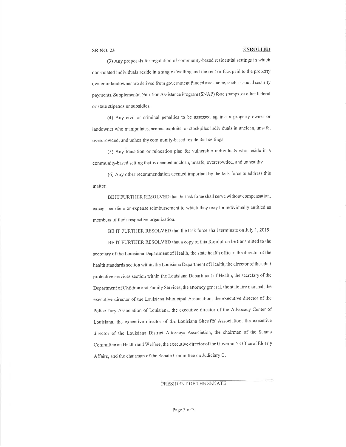# **SR NO. 23**

## **ENROLLED**

(3) Any proposals for regulation of community-based residential settings in which non-related individuals reside in a single dwelling and the rent or fees paid to the property owner or landowner are derived from government funded assistance, such as social security payments, Supplemental Nutrition Assistance Program (SNAP) food stamps, or other federal or state stipends or subsidies.

(4) Any civil or criminal penaltics to be assessed against a property owner or landowner who manipulates, scams, exploits, or stockpiles individuals in unclean, unsafe, overcrowded, and unhealthy community-based residential settings.

(5) Any transition or relocation plan for vulnerable individuals who reside in a community-based setting that is deemed unclean, unsafe, overcrowded, and unhealthy.

(6) Any other recommendation decmed important by the task force to address this matter.

BE IT FURTHER RESOLVED that the task force shall serve without compensation, except per diem or expense reimbursement to which they may be individually entitled as members of their respective organization.

BE IT FURTHER RESOLVED that the task force shall terminate on July 1, 2019.

BE IT FURTHER RESOLVED that a copy of this Resolution be transmitted to the secretary of the Louisiana Department of Health, the state health officer, the director of the health standards section within the Louisiana Department of Health, the director of the adult protective services section within the Louisiana Department of Health, the secretary of the Department of Children and Family Services, the attorney general, the state fire marshal, the executive director of the Louisiana Municipal Association, the executive director of the Police Jury Association of Louisiana, the executive director of the Advocacy Center of Louisiana, the executive director of the Louisiana Sheriffs' Association, the executive director of the Louisiana District Attorneys Association, the chairman of the Senate Committee on Health and Welfare, the executive director of the Governor's Office of Elderly Affairs, and the chairman of the Senate Committee on Judiciary C.

PRESIDENT OF THE SENATE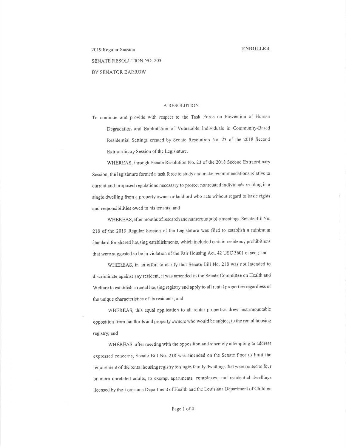# 2019 Regular Session

# **SENATE RESOLUTION NO. 203**

BY SENATOR BARROW

# A RESOLUTION

To continue and provide with respect to the Task Force on Prevention of Human Degradation and Exploitation of Vulnerable Individuals in Community-Based Residential Settings created by Senate Resolution No. 23 of the 2018 Second Extraordinary Session of the Legislature.

WHEREAS, through Senate Resolution No. 23 of the 2018 Second Extraordinary Session, the legislature formed a task force to study and make recommendations relative to current and proposed regulations necessary to protect nonrelated individuals residing in a single dwelling from a property owner or landlord who acts without regard to basic rights and responsibilities owed to his tenants; and

WHEREAS, after months of research and numerous public meetings, Senate Bill No. 218 of the 2019 Regular Session of the Legislature was filed to establish a minimum standard for shared housing establishments, which included certain residency prohibitions that were suggested to be in violation of the Fair Housing Act, 42 USC 3601 et seq.; and

WHEREAS, in an effort to clarify that Senate Bill No. 218 was not intended to discriminate against any resident, it was amended in the Senate Committee on Health and Welfare to establish a rental housing registry and apply to all rental properties regardless of the unique characteristics of its residents; and

WHEREAS, this equal application to all rental properties drew insurmountable opposition from landlords and property owners who would be subject to the rental housing registry; and

WHEREAS, after meeting with the opposition and sincerely attempting to address expressed concerns, Senate Bill No. 218 was amended on the Senate floor to limit the requirement of the rental housing registry to single-family dwellings that were rented to four or more unrelated adults, to exempt apartments, complexes, and residential dwellings licensed by the Louisiana Department of Health and the Louisiana Department of Children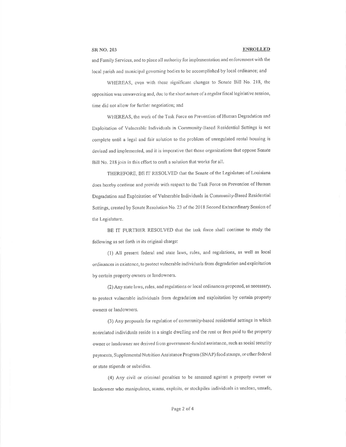# **SR NO. 203**

### **ENROLLED**

and Family Services, and to place all authority for implementation and enforcement with the local parish and municipal governing bodies to be accomplished by local ordinance; and

WHEREAS, even with these significant changes to Senate Bill No. 218, the opposition was unwavering and, due to the short nature of a regular fiscal legislative session, time did not allow for further negotiation; and

WHEREAS, the work of the Task Force on Prevention of Human Degradation and Exploitation of Vulnerable Individuals in Community-Based Residential Settings is not complete until a legal and fair solution to the problem of unregulated rental housing is devised and implemented, and it is imperative that those organizations that oppose Senate Bill No. 218 join in this effort to craft a solution that works for all.

THEREFORE, BE IT RESOLVED that the Senate of the Legislaturc of Louisiana does hereby continue and provide with respect to the Task Force on Prevention of Human Degradation and Exploitation of Vulnerable Individuals in Community-Based Residential Settings, created by Senate Resolution No. 23 of the 2018 Second Extraordinary Session of the Legislature.

BE IT FURTHER RESOLVED that the task force shall continue to study the following as set forth in its original charge:

(1) All present federal and state laws, rules, and regulations, as well as local ordinances in existence, to protect vulnerable individuals from degradation and exploitation by certain property owners or landowners.

(2) Any state laws, rules, and regulations or local ordinances proposed, as necessary, to protect vulnerable individuals from degradation and exploitation by certain property owners or landowners.

(3) Any proposals for regulation of community-based residential settings in which nonrelated individuals reside in a single dwelling and the rent or fees paid to the property owner or landowner are derived from government-funded assistance, such as social security payments, Supplemental Nutrition Assistance Program (SNAP) food stamps, or other federal or state stipends or subsidies.

(4) Any civil or criminal penaltics to be assessed against a property owner or landowner who manipulates, scams, exploits, or stockpiles individuals in unclean, unsafe,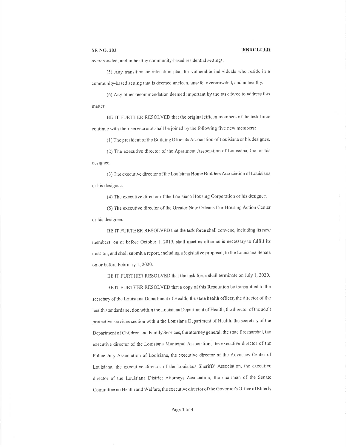# SR NO. 203 ENROLLED

overcrowded, and unhealthy community-based residential settings.

(5) Any transition or relocation plan for vulnerable individuals who reside in a community-based setting that is dcemed unclean, unsafe, overcrowded, and unhealthy.

(6) Any other recommendation deemed important by the task force to address this matter.

BE IT FURTHER RESOLVED that the original fifteen members of the task force continue with their service and shall be joined by the following five new members:

(1) The president of the Building Officials Association of Louisiana or his designee.

(2) The executive director of the Apartment Association of Louisiana, Inc. or his designee.

(3) The executive director of the Louisiana Home Builders Association of Louisiana or his designce.

(4) The exccutivc director ofthe Louisiana Housing Corporation or his designee,

(5) The executive director of the Greater New Orleans Fair Housing Action Center or his designee.

BE IT FURTHER RESOLVED that the task force shall convene, including its new members, on or before October 1, 2019, shall meet as often as is necessary to fulfill its mission, and shall subrnit a report, including a legislative proposal, to the Louisiana Senate on or before February 1, 2020.

BE IT FURTHER RESOLVED that the task force shall terminate on July 1, 2020.

BE IT FURTHER RESOLVED that a copy of this Resolution be transmitted to the secretary of the Louisiana Department of Health, the state health officer, the director of the health standards section within the Louisiana Departrnent of Health, thc director of the adult protective services section within the Louisiana Department of Health, the secretary of the Department of Children and Family Services, the attorney general, the state fire tnarshal, the executive director of the Louisiana Municipal Association, the executive director of the Police Jury Association of Louisiana, the executive director of the Advocacy Center of Louisiana, the executive director of the Louisiana Sheriffs' Association, the executive director of the Louisiana District Attorneys Association, the chairman of the Senate Committee on Health and Welfare, the executive director of the Governor's Office of Elderly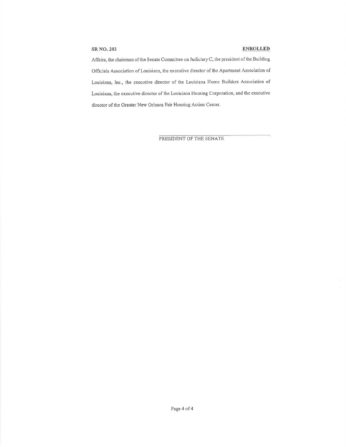# SRNO.203 ENRoLLED

 $\tilde{\omega}$ 

Aflfairs, the chairman of the Senate Comnittee on Judioiary C, the president of the Building Officials Association of Louisiana, the executive director of the Apartrnent Association of Louisiana, Inc., the execntive director of the Louisiana Home Builders Association of Louisiana, the executive director of the Louisiana Housing Corporation, and the executive director of the Greater New Orleans Fair Housing Action Center.

PRESIDENT OF THE SENATE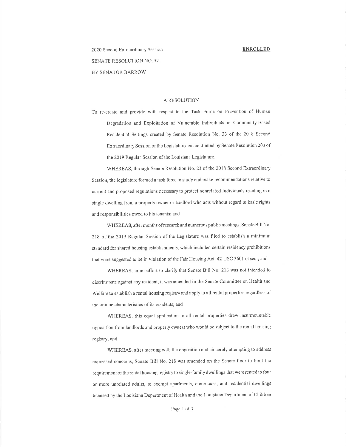# 2020 Second Extraordinary Session SENATE RESOLUTION NO, 52 BY SENATOR BARROW

# A RESOLUTION

To re-create and provide with respect to the Task Force on Prevention of Human Degradation and Exploitation of Vulnerable Individuals in Community-Based Residential Settings created by Senate Resolution No. 23 of the 2018 Second Extraordinary Session of the Legislature and continued by Senate Resolution 203 of the 2019 Regular Session of the Louisiana Legislature.

WHEREAS, through Senate Resolution No. 23 of the 2018 Second Extraordinary Session, the legislature formed a task force to study and make recommendations relative to current and proposed regulations necessary to protect nonrelated individnals residing in <sup>a</sup> single dwelling from a property owner or landlord who acts without regard to basic rights and rcsponsibilities owed to his tenants; and

WHEREAS, after months of research and numerous public mectings, Senate Bill No. 218 of the 2019 Regular Session of the Legislature was filed to establish a minimum standard for sharcd housing establishments, which included certain residency prohibitions that were suggested to be in violation of the Fair Housing Act, 42 USC 3601 et seq.; and

WHEREAS, in an effort to clarify that Senate Bill No. 218 was not intended to discriminate against any resident, it was amended in the Senate Committee on Health and Welfare to establish a rental housing registry and apply to all rental properties regardless of the unique characteristics of its residents; and

WHEREAS, this equal application to all rental properties drew insurmountable opposition from landlords and property owners who would be subject to the rental housing registry; and

WHEREAS, after meeting with the opposition and sincerely atternpting to address expressed concerns, Senate Bill No. 218 was amended on the Senate floor to limit the requiremcnt of thc rental housing registry to single-farnily dwellings that werc rentcd to four or more unrelated adults, to exempt apartments, complexes, and residential dwellings licensed by the Louisiana Department of Health and the Louisiana Department of Children

Page 1 of 3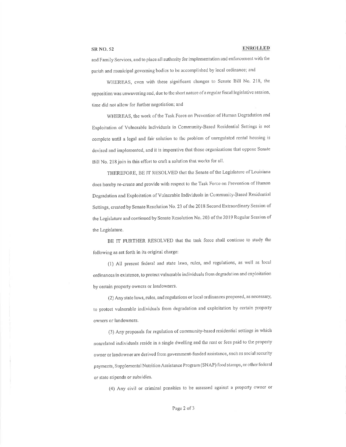# SR NO. 52 the SIR NOLLED SERVICE SERVICE SERVICE SERVICE SERVICE SERVICE SERVICE SERVICE SERVICE SERVICE SERVICE SERVICE SERVICE SERVICE SERVICE SERVICE SERVICE SERVICE SERVICE SERVICE SERVICE SERVICE SERVICE SERVICE SERVI

and Family Services, and to place all authority for implementation and enforcement with the parish and municipal governing bodics to be accomplished by local ordinance; and

WHEREAS, even with these significant changes to Senate Bill No. 218, the opposition was unwavering and, due to the short nature of a regular fiscal legislative session, time did not allow for further negotiation; and

WHEREAS, the work of the Task Force on Prevention of Human Degradation and Exploitation of Vulnerable Individuals in Community-Based Residential Settings is not complete until a legal and fair solution to the problem of unregulated rental housing is devised and implemented, and it is imperative that those organizations that oppose Senate Bill No. 218 join in this effort to craft a solution that works for all.

THEREFORE, BE IT RESOLVED that the Senate of the Legislature of Louisiana does hereby re-create and provide with respect to the Task Force on Prevention of Human Degradation and Exploitation of Vulnerable Individuals in Community-Based Residential Settings, created by Senate Resolution No. 23 of the 2018 Second Extraordinary Session of the Legislature and continued by Senate Resolution No. 203 of the 2019 Regular Session of the Legislature.

BE IT FURTHER RESOLVED that the task force shall continue to study the following as set forth in its original charge:

(l) All present federal and state laws, rulcs, ancl regulations, as well as local ordinances in existence, to protect vulnerable individuals from degradation and exploitation by certain property owners or landowners.

(2) Any state laws, rulcs, and rcgulations or local ordinances proposed, as necessary, to protect vulnerable individuals from degradation and exploitation by certain property owners or landowners.

(3) Any proposals for regulation of community-based residential settings in which nonrelated individuals reside in a single dwelling and the rent or fees paid to the property owner or landowner are derived from government-funded assistance, such as social security payments, Supplemental Nutrition Assistance Program (SNAP) food stamps, or other federal or statc stipends or subsidies.

(4) Any civil or criminal pcnalties to be assessed against a property owner or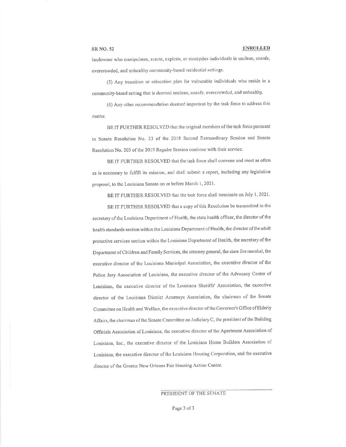# **SR NO. 52**

### **ENROLLED**

landowner who manipulates, scams, exploits, or stockpiles individuals in unclean, unsafe, overcrowded, and unhealthy community-based residential settings.

(5) Any transition or relocation plan for vulnerable individuals who reside in a community-based setting that is deemed unclean, unsafe, overcrowded, and unhealthy.

(6) Any other recommendation deemed important by the task force to address this matter.

BE IT FURTHER RESOLVED that the original members of the task force pursuant to Senate Resolution No. 23 of the 2018 Second Extraordinary Session and Senate Resolution No. 203 of the 2019 Regular Session continue with their service.

BE IT FURTHER RESOLVED that the task force shall convene and meet as often as is necessary to fulfill its mission, and shall submit a report, including any legislative proposal, to the Louisiana Senate on or before March 1, 2021.

BE IT FURTHER RESOLVED that the task force shall terminate on July 1, 2021.

BE IT FURTHER RESOLVED that a copy of this Resolution be transmitted to the secretary of the Louisiana Department of Health, the state health officer, the director of the health standards section within the Louisiana Department of Health, the director of the adult protective services section within the Louisiana Department of Health, the secretary of the Department of Children and Family Services, the attorney general, the state fire marshal, the executive director of the Louisiana Municipal Association, the executive director of the Police Jury Association of Louisiana, the executive director of the Advocacy Center of Louisiana, the executive director of the Louisiana Sheriffs' Association, the executive director of the Louisiana District Attorneys Association, the chairman of the Senate Committee on Health and Welfare, the executive director of the Governor's Office of Elderly Affairs, the chairman of the Senate Committee on Judiciary C, the president of the Building Officials Association of Louisiana, the executive director of the Apartment Association of Louisiana, Inc., the executive director of the Louisiana Home Builders Association of Louisiana, the executive director of the Louisiana Housing Corporation, and the executive director of the Greater New Orleans Fair Housing Action Center.

# PRESIDENT OF THE SENATE

Page 3 of 3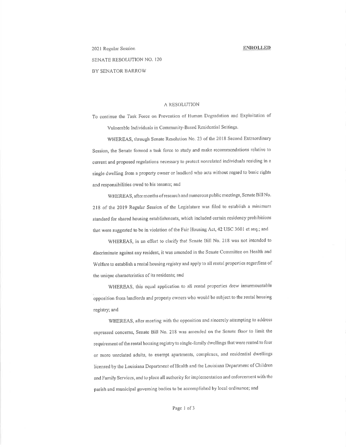2021 Rcgular Session SENATE RESOLUTION NO. I20 BY SENATOR BARROW

# A RESOLUTION

To continue the Task Force on Prevention of Human Degradation and Exploitation of Vulnerable Individuals in Community-Based Residcntial Settings.

WHEREAS, through Senate Resolution No. 23 of the 2018 Second Extraordinary Session, the Senate formed a task force to study and make recommendations relative to current and proposed regulations necessary to protect nonrelated individuals residing in a single dwelling from a property owner or landtord who acts without regard to basic rights and responsibilities owed to his tenants; aud

WHEREAS, after months of research and numerous public meetings, Senate Bill No. 218 of the 2019 Regular Session of the Legislature was filed to establish a minimum standard for shated housing establishments, which included certain residency prohibitions that were suggested to be in violation of the Fair Housing Act, 42 USC 3601 et seq,; and

WHEREAS, in an effort to clarify that Senate Bill No. 218 was not intended to discriminate against any resident, it was amended in the Senate Committee on Health and Welfare to establish a rental housing registry and apply to all rental properties regardless of the unique characteristics of its residents; and

WHEREAS, this equal application to all rental properties drew insurmountable opposition from landlords and property owners who would be subject to the rental housing registry; and

WHEREAS, after meeting with the opposition and sincerely attempting to address expressed concerns, Senate Bill No. 218 was amended on the Senate floor to limit the requirement of the rental housing registry to single-family dwellings that were rented to four or more unrelated adults, to exempt apartments, complexes, and residential dwellings licensed by the Louisiana Dcpanrnent of Hcalth and the Louisiana Department of Children and Family Services, and to place all authority for implementation and enforcement with the parish and municipal governing bodies to be accomplished by local ordinance; and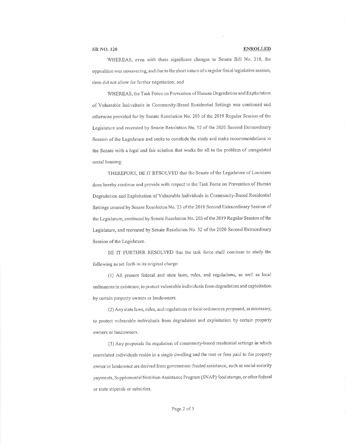WHEREAS, even with these significant changes to Senate Bill No. 218, the opposition was unwavering, and due to the short nature of a regular fiscal legislative session, time did not allow for further negotiation; and

WHEREAS, the Task Force on Prevention of Human Degradation and Exploitation of Vulnerable Individuals in Community-Based Residential Settings was continued and otherwise provided for by Senate Resolution No. 203 of the 2019 Regular Session of the Legislature and recreated by Senate Resolution No. 52 of the 2020 Second Extraordinary Session of the Legislature and seeks to conclude the study and make recommendations to the Senate with a legal and fair solution that works for all to the problem of unregulated rental housing.

THEREFORE, BE IT RESOLVED that the Senate of the Legislature of Louisiana does hereby continue and provide with respect to the Task Force on Prevention of Human Degradation and Exploitation of Vulnerable Individuals in Community-Based Residential Settings created by Senate Resolution No. 23 of the 2018 Second Extraordinary Session of the Legislature, continued by Senate Resolution No. 203 of the 2019 Regular Session of the Legislature, and recreated by Senate Resolution No. 52 of the 2020 Second Extraordinary Session of the Legislature.

BE IT FURTHER RESOLVED that the task force shall continue to study the following as set forth in its original charge:

(1) All present federal and state laws, rules, and regulations, as well as local ordinances in existence, to protect vulnerable individuals from degradation and exploitation by certain property owners or landowners.

(2) Any state laws, rules, and regulations or local ordinances proposed, as necessary, to protect vulnerable individuals from degradation and exploitation by certain property owners or landowners.

(3) Any proposals for regulation of community-based residential settings in which nonrelated individuals reside in a single dwelling and the rent or fees paid to the property owner or landowner are derived from government-funded assistance, such as social security payments, Supplemental Nutrition Assistance Program (SNAP) food stamps, or other federal or state stipends or subsidies.